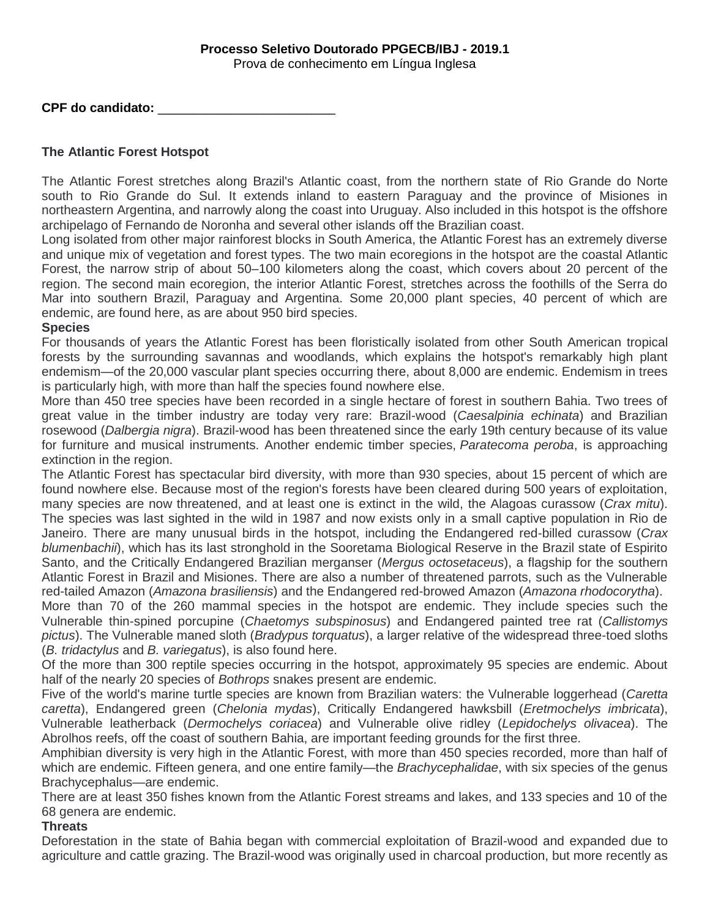## **Processo Seletivo Doutorado PPGECB/IBJ - 2019.1**

Prova de conhecimento em Língua Inglesa

**CPF do candidato:** \_\_\_\_\_\_\_\_\_\_\_\_\_\_\_\_\_\_\_\_\_\_\_\_\_

## **The Atlantic Forest Hotspot**

The Atlantic Forest stretches along Brazil's Atlantic coast, from the northern state of Rio Grande do Norte south to Rio Grande do Sul. It extends inland to eastern Paraguay and the province of Misiones in northeastern Argentina, and narrowly along the coast into Uruguay. Also included in this hotspot is the offshore archipelago of Fernando de Noronha and several other islands off the Brazilian coast.

Long isolated from other major rainforest blocks in South America, the Atlantic Forest has an extremely diverse and unique mix of vegetation and forest types. The two main ecoregions in the hotspot are the coastal Atlantic Forest, the narrow strip of about 50–100 kilometers along the coast, which covers about 20 percent of the region. The second main ecoregion, the interior Atlantic Forest, stretches across the foothills of the Serra do Mar into southern Brazil, Paraguay and Argentina. Some 20,000 plant species, 40 percent of which are endemic, are found here, as are about 950 bird species.

## **Species**

For thousands of years the Atlantic Forest has been floristically isolated from other South American tropical forests by the surrounding savannas and woodlands, which explains the hotspot's remarkably high plant endemism—of the 20,000 vascular plant species occurring there, about 8,000 are endemic. Endemism in trees is particularly high, with more than half the species found nowhere else.

More than 450 tree species have been recorded in a single hectare of forest in southern Bahia. Two trees of great value in the timber industry are today very rare: Brazil-wood (*Caesalpinia echinata*) and Brazilian rosewood (*Dalbergia nigra*). Brazil-wood has been threatened since the early 19th century because of its value for furniture and musical instruments. Another endemic timber species, *Paratecoma peroba*, is approaching extinction in the region.

The Atlantic Forest has spectacular bird diversity, with more than 930 species, about 15 percent of which are found nowhere else. Because most of the region's forests have been cleared during 500 years of exploitation, many species are now threatened, and at least one is extinct in the wild, the Alagoas curassow (*Crax mitu*). The species was last sighted in the wild in 1987 and now exists only in a small captive population in Rio de Janeiro. There are many unusual birds in the hotspot, including the Endangered red-billed curassow (*Crax blumenbachii*), which has its last stronghold in the Sooretama Biological Reserve in the Brazil state of Espirito Santo, and the Critically Endangered Brazilian merganser (*Mergus octosetaceus*), a flagship for the southern Atlantic Forest in Brazil and Misiones. There are also a number of threatened parrots, such as the Vulnerable red-tailed Amazon (*Amazona brasiliensis*) and the Endangered red-browed Amazon (*Amazona rhodocorytha*).

More than 70 of the 260 mammal species in the hotspot are endemic. They include species such the Vulnerable thin-spined porcupine (*Chaetomys subspinosus*) and Endangered painted tree rat (*Callistomys pictus*). The Vulnerable maned sloth (*Bradypus torquatus*), a larger relative of the widespread three-toed sloths (*B. tridactylus* and *B. variegatus*), is also found here.

Of the more than 300 reptile species occurring in the hotspot, approximately 95 species are endemic. About half of the nearly 20 species of *Bothrops* snakes present are endemic.

Five of the world's marine turtle species are known from Brazilian waters: the Vulnerable loggerhead (*Caretta caretta*), Endangered green (*Chelonia mydas*), Critically Endangered hawksbill (*Eretmochelys imbricata*), Vulnerable leatherback (*Dermochelys coriacea*) and Vulnerable olive ridley (*Lepidochelys olivacea*). The Abrolhos reefs, off the coast of southern Bahia, are important feeding grounds for the first three.

Amphibian diversity is very high in the Atlantic Forest, with more than 450 species recorded, more than half of which are endemic. Fifteen genera, and one entire family—the *Brachycephalidae*, with six species of the genus Brachycephalus—are endemic.

There are at least 350 fishes known from the Atlantic Forest streams and lakes, and 133 species and 10 of the 68 genera are endemic.

## **Threats**

Deforestation in the state of Bahia began with commercial exploitation of Brazil-wood and expanded due to agriculture and cattle grazing. The Brazil-wood was originally used in charcoal production, but more recently as